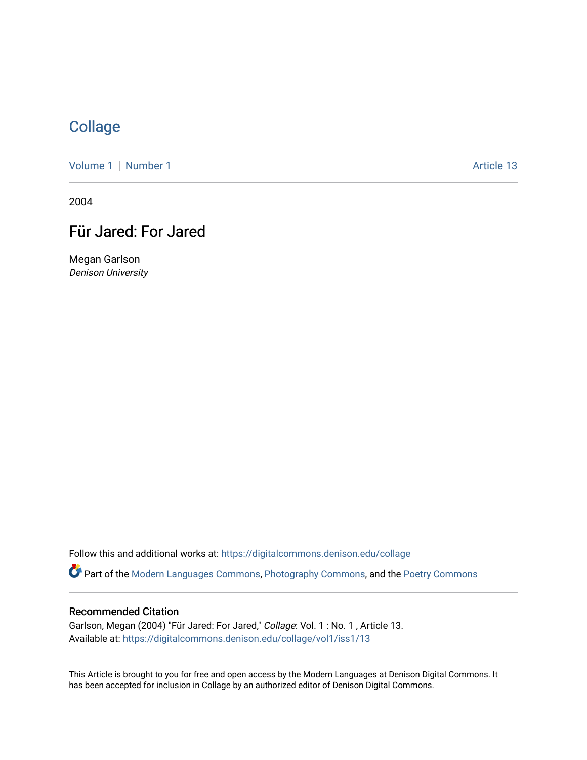## **[Collage](https://digitalcommons.denison.edu/collage)**

[Volume 1](https://digitalcommons.denison.edu/collage/vol1) | [Number 1](https://digitalcommons.denison.edu/collage/vol1/iss1) Article 13

2004

# Für Jared: For Jared

Megan Garlson Denison University

Follow this and additional works at: [https://digitalcommons.denison.edu/collage](https://digitalcommons.denison.edu/collage?utm_source=digitalcommons.denison.edu%2Fcollage%2Fvol1%2Fiss1%2F13&utm_medium=PDF&utm_campaign=PDFCoverPages) 

Part of the [Modern Languages Commons,](http://network.bepress.com/hgg/discipline/1130?utm_source=digitalcommons.denison.edu%2Fcollage%2Fvol1%2Fiss1%2F13&utm_medium=PDF&utm_campaign=PDFCoverPages) [Photography Commons](http://network.bepress.com/hgg/discipline/1142?utm_source=digitalcommons.denison.edu%2Fcollage%2Fvol1%2Fiss1%2F13&utm_medium=PDF&utm_campaign=PDFCoverPages), and the [Poetry Commons](http://network.bepress.com/hgg/discipline/1153?utm_source=digitalcommons.denison.edu%2Fcollage%2Fvol1%2Fiss1%2F13&utm_medium=PDF&utm_campaign=PDFCoverPages)

#### Recommended Citation

Garlson, Megan (2004) "Für Jared: For Jared," Collage: Vol. 1: No. 1, Article 13. Available at: [https://digitalcommons.denison.edu/collage/vol1/iss1/13](https://digitalcommons.denison.edu/collage/vol1/iss1/13?utm_source=digitalcommons.denison.edu%2Fcollage%2Fvol1%2Fiss1%2F13&utm_medium=PDF&utm_campaign=PDFCoverPages)

This Article is brought to you for free and open access by the Modern Languages at Denison Digital Commons. It has been accepted for inclusion in Collage by an authorized editor of Denison Digital Commons.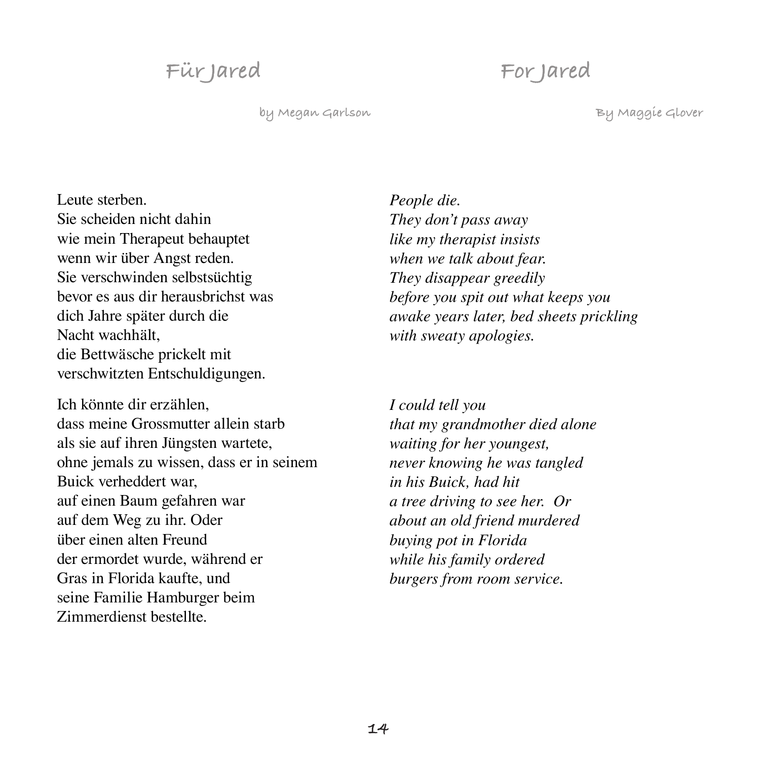## **Für Jared**

### **For Jared**

**by Megan Garlson**

**By Maggie Glover**

Leute sterben. Sie scheiden nicht dahin wie mein Therapeut behauptet wenn wir über Angst reden. Sie verschwinden selbstsüchtig bevor es aus dir herausbrichst was dich Jahre später durch die Nacht wachhält, die Bettwäsche prickelt mit verschwitzten Entschuldigungen.

Ich könnte dir erzählen, dass meine Grossmutter allein starb als sie auf ihren Jüngsten wartete, ohne jemals zu wissen, dass er in seinem Buick verheddert war, auf einen Baum gefahren war auf dem Weg zu ihr. Oder über einen alten Freund der ermordet wurde, während er Gras in Florida kaufte, und seine Familie Hamburger beim Zimmerdienst bestellte.

*People die. They don't pass away like my therapist insists when we talk about fear. They disappear greedily before you spit out what keeps you awake years later, bed sheets prickling with sweaty apologies.*

*I could tell you that my grandmother died alone waiting for her youngest, never knowing he was tangled in his Buick, had hit a tree driving to see her. Or about an old friend murdered buying pot in Florida while his family ordered burgers from room service.*